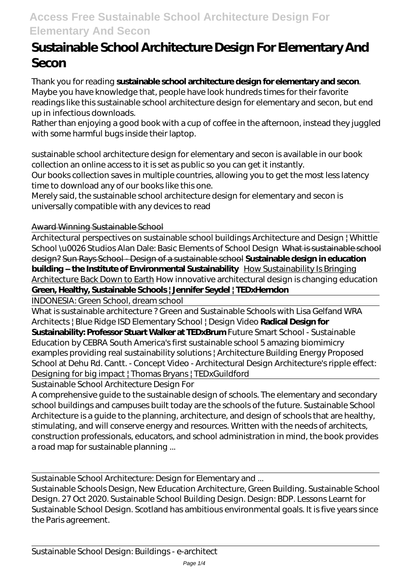## **Access Free Sustainable School Architecture Design For Elementary And Secon**

# **Sustainable School Architecture Design For Elementary And Secon**

Thank you for reading **sustainable school architecture design for elementary and secon**. Maybe you have knowledge that, people have look hundreds times for their favorite readings like this sustainable school architecture design for elementary and secon, but end up in infectious downloads.

Rather than enjoying a good book with a cup of coffee in the afternoon, instead they juggled with some harmful bugs inside their laptop.

sustainable school architecture design for elementary and secon is available in our book collection an online access to it is set as public so you can get it instantly.

Our books collection saves in multiple countries, allowing you to get the most less latency time to download any of our books like this one.

Merely said, the sustainable school architecture design for elementary and secon is universally compatible with any devices to read

#### Award Winning Sustainable School

Architectural perspectives on sustainable school buildings Architecture and Design | Whittle School \u0026 Studios Alan Dale: Basic Elements of School Design What is sustainable school design? Sun Rays School - Design of a sustainable school **Sustainable design in education building – the Institute of Environmental Sustainability** How Sustainability Is Bringing Architecture Back Down to Earth How innovative architectural design is changing education **Green, Healthy, Sustainable Schools | Jennifer Seydel | TEDxHerndon**

INDONESIA: Green School, dream school

What is sustainable architecture ? Green and Sustainable Schools with Lisa Gelfand WRA Architects | Blue Ridge ISD Elementary School | Design Video **Radical Design for**

**Sustainability: Professor Stuart Walker at TEDxBrum** *Future Smart School - Sustainable Education by CEBRA South America's first sustainable school* 5 amazing biomimicry examples providing real sustainability solutions | Architecture Building Energy *Proposed School at Dehu Rd. Cantt. - Concept Video - Architectural Design Architecture's ripple effect: Designing for big impact | Thomas Bryans | TEDxGuildford*

Sustainable School Architecture Design For

A comprehensive guide to the sustainable design of schools. The elementary and secondary school buildings and campuses built today are the schools of the future. Sustainable School Architecture is a guide to the planning, architecture, and design of schools that are healthy, stimulating, and will conserve energy and resources. Written with the needs of architects, construction professionals, educators, and school administration in mind, the book provides a road map for sustainable planning ...

Sustainable School Architecture: Design for Elementary and ...

Sustainable Schools Design, New Education Architecture, Green Building. Sustainable School Design. 27 Oct 2020. Sustainable School Building Design. Design: BDP. Lessons Learnt for Sustainable School Design. Scotland has ambitious environmental goals. It is five years since the Paris agreement.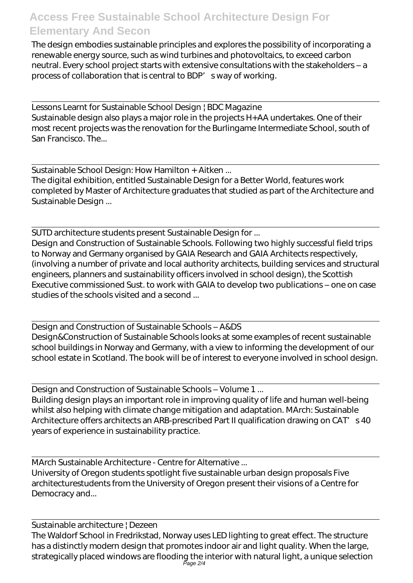### **Access Free Sustainable School Architecture Design For Elementary And Secon**

The design embodies sustainable principles and explores the possibility of incorporating a renewable energy source, such as wind turbines and photovoltaics, to exceed carbon neutral. Every school project starts with extensive consultations with the stakeholders – a process of collaboration that is central to BDP' s way of working.

Lessons Learnt for Sustainable School Design | BDC Magazine Sustainable design also plays a major role in the projects H+AA undertakes. One of their most recent projects was the renovation for the Burlingame Intermediate School, south of San Francisco. The...

Sustainable School Design: How Hamilton + Aitken ... The digital exhibition, entitled Sustainable Design for a Better World, features work completed by Master of Architecture graduates that studied as part of the Architecture and Sustainable Design ...

SUTD architecture students present Sustainable Design for ... Design and Construction of Sustainable Schools. Following two highly successful field trips to Norway and Germany organised by GAIA Research and GAIA Architects respectively, (involving a number of private and local authority architects, building services and structural engineers, planners and sustainability officers involved in school design), the Scottish Executive commissioned Sust. to work with GAIA to develop two publications – one on case studies of the schools visited and a second ...

Design and Construction of Sustainable Schools – A&DS Design&Construction of Sustainable Schools looks at some examples of recent sustainable school buildings in Norway and Germany, with a view to informing the development of our school estate in Scotland. The book will be of interest to everyone involved in school design.

Design and Construction of Sustainable Schools – Volume 1 ... Building design plays an important role in improving quality of life and human well-being whilst also helping with climate change mitigation and adaptation. MArch: Sustainable Architecture offers architects an ARB-prescribed Part II qualification drawing on CAT's 40 years of experience in sustainability practice.

MArch Sustainable Architecture - Centre for Alternative ... University of Oregon students spotlight five sustainable urban design proposals Five architecturestudents from the University of Oregon present their visions of a Centre for Democracy and...

Sustainable architecture | Dezeen The Waldorf School in Fredrikstad, Norway uses LED lighting to great effect. The structure has a distinctly modern design that promotes indoor air and light quality. When the large, strategically placed windows are flooding the interior with natural light, a unique selection Page 2/4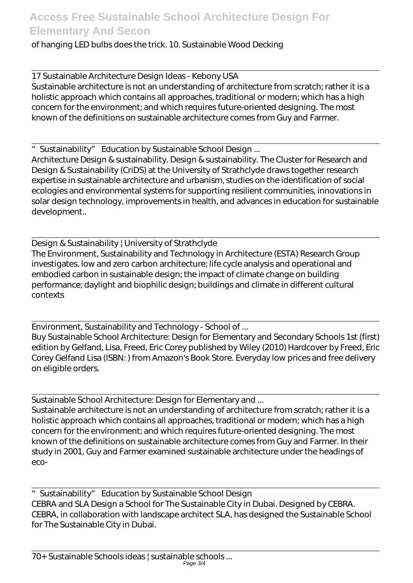#### of hanging LED bulbs does the trick. 10. Sustainable Wood Decking

17 Sustainable Architecture Design Ideas - Kebony USA Sustainable architecture is not an understanding of architecture from scratch; rather it is a holistic approach which contains all approaches, traditional or modern; which has a high concern for the environment; and which requires future-oriented designing. The most known of the definitions on sustainable architecture comes from Guy and Farmer.

"Sustainability" Education by Sustainable School Design ...

Architecture Design & sustainability. Design & sustainability. The Cluster for Research and Design & Sustainability (CriDS) at the University of Strathclyde draws together research expertise in sustainable architecture and urbanism, studies on the identification of social ecologies and environmental systems for supporting resilient communities, innovations in solar design technology, improvements in health, and advances in education for sustainable development..

Design & Sustainability | University of Strathclyde The Environment, Sustainability and Technology in Architecture (ESTA) Research Group investigates. low and zero carbon architecture; life cycle analysis and operational and embodied carbon in sustainable design; the impact of climate change on building performance; daylight and biophilic design; buildings and climate in different cultural contexts

Environment, Sustainability and Technology - School of ... Buy Sustainable School Architecture: Design for Elementary and Secondary Schools 1st (first) edition by Gelfand, Lisa, Freed, Eric Corey published by Wiley (2010) Hardcover by Freed, Eric Corey Gelfand Lisa (ISBN: ) from Amazon's Book Store. Everyday low prices and free delivery on eligible orders.

Sustainable School Architecture: Design for Elementary and ... Sustainable architecture is not an understanding of architecture from scratch; rather it is a holistic approach which contains all approaches, traditional or modern; which has a high concern for the environment; and which requires future-oriented designing. The most known of the definitions on sustainable architecture comes from Guy and Farmer. In their study in 2001, Guy and Farmer examined sustainable architecture under the headings of eco-

"Sustainability" Education by Sustainable School Design CEBRA and SLA Design a School for The Sustainable City in Dubai. Designed by CEBRA. CEBRA, in collaboration with landscape architect SLA, has designed the Sustainable School for The Sustainable City in Dubai.